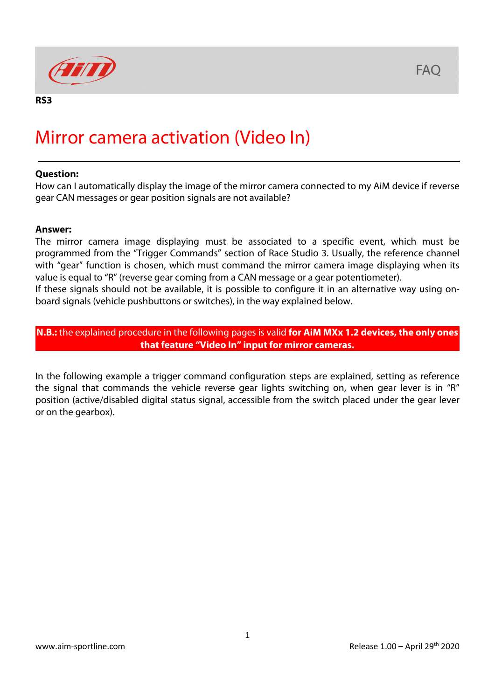

## Mirror camera activation (Video In)

## **Question:**

How can I automatically display the image of the mirror camera connected to my AiM device if reverse gear CAN messages or gear position signals are not available?

## **Answer:**

The mirror camera image displaying must be associated to a specific event, which must be programmed from the "Trigger Commands" section of Race Studio 3. Usually, the reference channel with "gear" function is chosen, which must command the mirror camera image displaying when its value is equal to "R" (reverse gear coming from a CAN message or a gear potentiometer).

If these signals should not be available, it is possible to configure it in an alternative way using onboard signals (vehicle pushbuttons or switches), in the way explained below.

**N.B.:** the explained procedure in the following pages is valid **for AiM MXx 1.2 devices, the only ones that feature "Video In" input for mirror cameras.**

In the following example a trigger command configuration steps are explained, setting as reference the signal that commands the vehicle reverse gear lights switching on, when gear lever is in "R" position (active/disabled digital status signal, accessible from the switch placed under the gear lever or on the gearbox).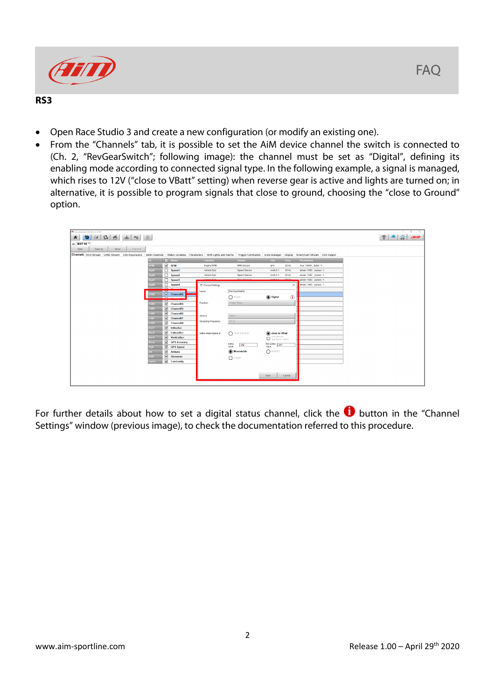

## **RS3**

- Open Race Studio 3 and create a new configuration (or modify an existing one).
- From the "Channels" tab, it is possible to set the AiM device channel the switch is connected to (Ch. 2, "RevGearSwitch"; following image): the channel must be set as "Digital", defining its enabling mode according to connected signal type. In the following example, a signal is managed, which rises to 12V ("close to VBatt" setting) when reverse gear is active and lights are turned on; in alternative, it is possible to program signals that close to ground, choosing the "close to Ground" option.



For further details about how to set a digital status channel, click the  $\bullet$  button in the "Channel Settings" window (previous image), to check the documentation referred to this procedure.